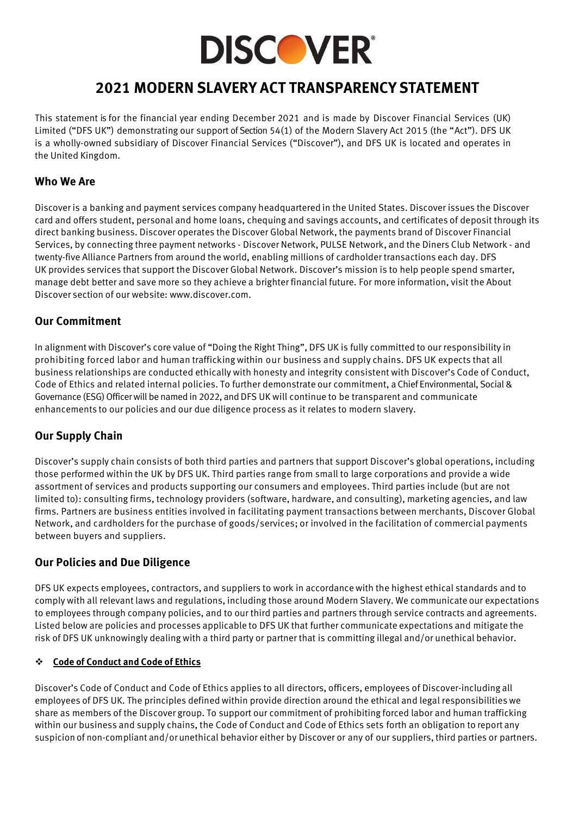

# **2021 MODERN SLAVERY ACT TRANSPARENCY STATEMENT**

This statement is for the financial year ending December 2021 and is made by Discover Financial Services (UK) Limited ("DFS UK") demonstrating our support of Section 54(1) of the Modern Slavery Act 2015 (the "Act"). DFS UK is a wholly-owned subsidiary of Discover Financial Services ("Discover"), and DFS UK is located and operates in the United Kingdom.

### **Who We Are**

Discover is a banking and payment services company headquartered in the United States. Discover issues the Discover card and offers student, personal and home loans, chequing and savings accounts, and certificates of deposit through its direct banking business. Discover operates the Discover Global Network, the payments brand of Discover Financial Services, by connecting three payment networks - Discover Network, PULSE Network, and the Diners Club Network - and twenty-five Alliance Partners from around the world, enabling millions of cardholder transactions each day. DFS UK provides services that support the Discover Global Network. Discover's mission is to help people spend smarter, manage debt better and save more so they achieve a brighter financial future. For more information, visit the About Discover section of our website: www.discover.com.

# **Our Commitment**

In alignment with Discover's core value of "Doing the Right Thing", DFS UK is fully committed to our responsibility in prohibiting forced labor and human trafficking within our business and supply chains. DFS UK expects that all business relationships are conducted ethically with honesty and integrity consistent with Discover's Code of Conduct, Code of Ethics and related internal policies. To further demonstrate our commitment, a Chief Environmental, Social & Governance (ESG) Officer will be named in 2022, and DFS UK will continue to be transparent and communicate enhancements to our policies and our due diligence process as it relates to modern slavery.

# **Our Supply Chain**

Discover's supply chain consists of both third parties and partners that support Discover's global operations, including those performed within the UK by DFS UK. Third parties range from small to large corporations and provide a wide assortment of services and products supporting our consumers and employees. Third parties include (but are not limited to): consulting firms, technology providers (software, hardware, and consulting), marketing agencies, and law firms. Partners are business entities involved in facilitating payment transactions between merchants, Discover Global Network, and cardholders for the purchase of goods/services; or involved in the facilitation of commercial payments between buyers and suppliers.

# **Our Policies and Due Diligence**

DFS UK expects employees, contractors, and suppliers to work in accordance with the highest ethical standards and to comply with all relevant laws and regulations, including those around Modern Slavery. We communicate our expectations to employees through company policies, and to our third parties and partners through service contracts and agreements. Listed below are policies and processes applicable to DFS UK that further communicate expectations and mitigate the risk of DFS UK unknowingly dealing with a third party or partner that is committing illegal and/or unethical behavior.

#### ❖ **Code of Conduct and Code of Ethics**

Discover's Code of Conduct and Code of Ethics applies to all directors, officers, employees of Discover-including all employees of DFS UK. The principles defined within provide direction around the ethical and legal responsibilitieswe share as members of the Discover group. To support our commitment of prohibiting forced labor and human trafficking within our business and supply chains, the Code of Conduct and Code of Ethics sets forth an obligation to report any suspicion of non-compliant and/or unethical behavior either by Discover or any of our suppliers, third parties or partners.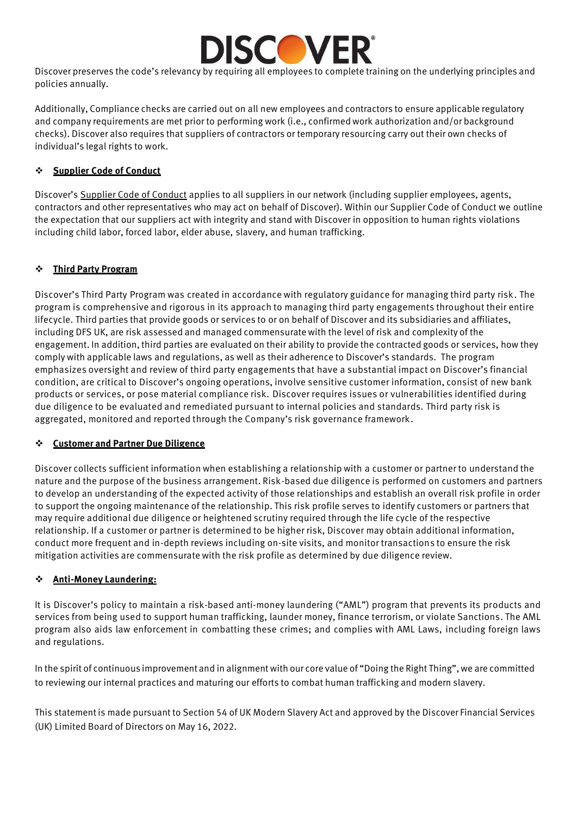

Discover preserves the code's relevancy by requiring all employees to complete training on the underlying principles and policies annually.

Additionally, Compliance checks are carried out on all new employees and contractors to ensure applicable regulatory and company requirements are met prior to performing work (i.e., confirmedwork authorization and/or background checks). Discover also requires that suppliers of contractors or temporary resourcing carry out their own checks of individual's legal rights to work.

#### ❖ **Supplier Code of Conduct**

Discover's [Supplier Code of Conduct](https://www.discover.com/company/our-company/corporate-governance/supplier-code-of-conduct.pdf) applies to all suppliers in our network (including supplier employees, agents, contractors and other representatives who may act on behalf of Discover). Within our Supplier Code of Conduct we outline the expectation that our suppliers act with integrity and stand with Discover in opposition to human rights violations including child labor, forced labor, elder abuse, slavery, and human trafficking.

#### ❖ **Third Party Program**

Discover's Third Party Program was created in accordance with regulatory guidance for managing third party risk. The program is comprehensive and rigorous in its approach to managing third party engagements throughout their entire lifecycle. Third parties that provide goods or services to or on behalf of Discover and its subsidiaries and affiliates, including DFS UK, are risk assessed and managed commensuratewith the level of risk and complexity of the engagement. In addition, third parties are evaluated on their ability to provide the contracted goods or services, how they comply with applicable laws and regulations, as well as their adherence to Discover's standards. The program emphasizes oversight and review of third party engagements that have a substantial impact on Discover's financial condition, are critical to Discover's ongoing operations, involve sensitive customer information, consist of new bank products or services, or pose material compliance risk. Discover requires issues or vulnerabilities identified during due diligence to be evaluated and remediated pursuant to internal policies and standards. Third party risk is aggregated, monitored and reported through the Company's risk governance framework.

#### ❖ **Customer and Partner Due Diligence**

Discover collects sufficient information when establishing a relationship with a customer or partner to understand the nature and the purpose of the business arrangement. Risk-based due diligence is performed on customers and partners to develop an understanding of the expected activity of those relationships and establish an overall risk profile in order to support the ongoing maintenance of the relationship. This risk profile serves to identify customers or partners that may require additional due diligence or heightened scrutiny required through the life cycle of the respective relationship. If a customer or partner is determined to be higher risk, Discover may obtain additional information, conduct more frequent and in-depth reviews including on-site visits, and monitor transactions to ensure the risk mitigation activities are commensurate with the risk profile as determined by due diligence review.

#### ❖ **Anti-Money Laundering:**

It is Discover's policy to maintain a risk-based anti-money laundering ("AML") program that prevents its products and services from being used to support human trafficking, launder money, finance terrorism, or violate Sanctions. The AML program also aids law enforcement in combatting these crimes; and complies with AML Laws, including foreign laws and regulations.

In the spirit of continuous improvement and in alignment with our core value of "Doing the Right Thing", we are committed to reviewing our internal practices and maturing our efforts to combat human trafficking and modern slavery.

This statement is made pursuant to Section 54 of UK Modern Slavery Act and approved by the Discover Financial Services (UK) Limited Board of Directors on May 16, 2022.